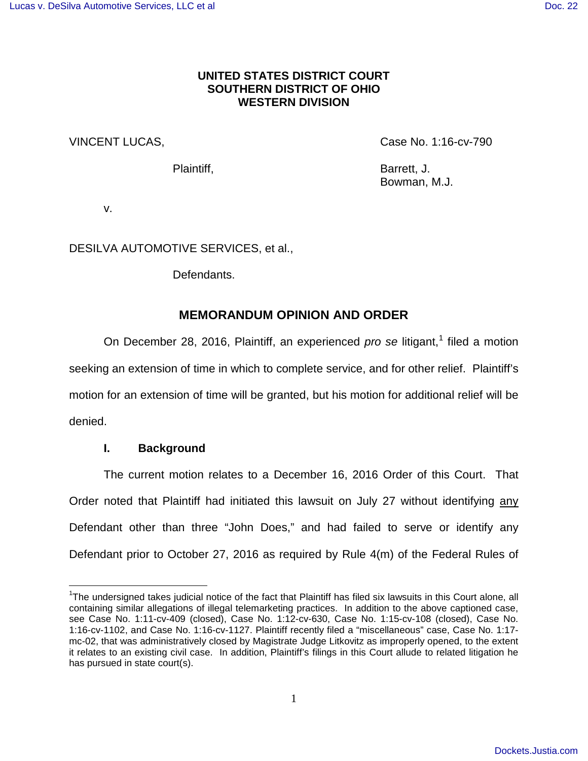## **UNITED STATES DISTRICT COURT SOUTHERN DISTRICT OF OHIO WESTERN DIVISION**

VINCENT LUCAS, Case No. 1:16-cv-790

Plaintiff, Barrett, J. Bowman, M.J.

v.

DESILVA AUTOMOTIVE SERVICES, et al.,

Defendants.

# **MEMORANDUM OPINION AND ORDER**

On December 28, 20[1](#page-0-0)6, Plaintiff, an experienced  $pro$  se litigant,<sup>1</sup> filed a motion seeking an extension of time in which to complete service, and for other relief. Plaintiff's motion for an extension of time will be granted, but his motion for additional relief will be denied.

## **I. Background**

 $\overline{a}$ 

The current motion relates to a December 16, 2016 Order of this Court. That Order noted that Plaintiff had initiated this lawsuit on July 27 without identifying any Defendant other than three "John Does," and had failed to serve or identify any Defendant prior to October 27, 2016 as required by Rule 4(m) of the Federal Rules of

<span id="page-0-0"></span><sup>&</sup>lt;sup>1</sup>The undersigned takes judicial notice of the fact that Plaintiff has filed six lawsuits in this Court alone, all containing similar allegations of illegal telemarketing practices. In addition to the above captioned case, see Case No. 1:11-cv-409 (closed), Case No. 1:12-cv-630, Case No. 1:15-cv-108 (closed), Case No. 1:16-cv-1102, and Case No. 1:16-cv-1127. Plaintiff recently filed a "miscellaneous" case, Case No. 1:17 mc-02, that was administratively closed by Magistrate Judge Litkovitz as improperly opened, to the extent it relates to an existing civil case. In addition, Plaintiff's filings in this Court allude to related litigation he has pursued in state court(s).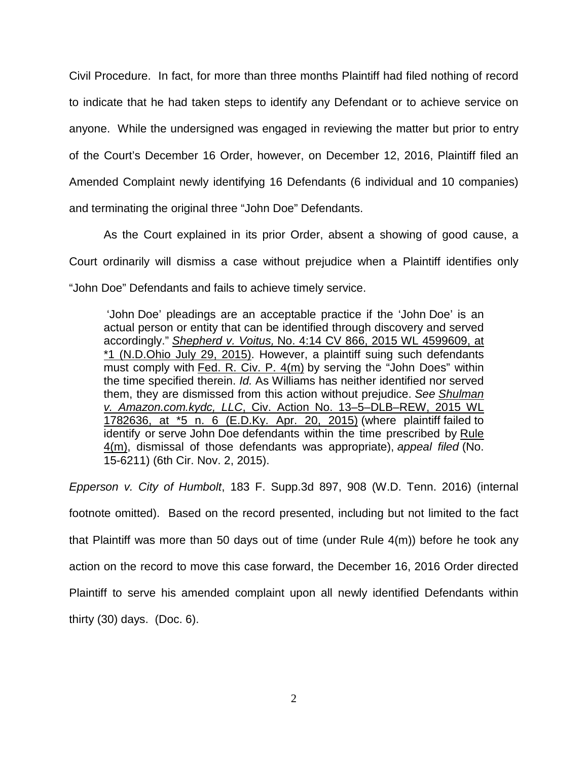Civil Procedure. In fact, for more than three months Plaintiff had filed nothing of record to indicate that he had taken steps to identify any Defendant or to achieve service on anyone. While the undersigned was engaged in reviewing the matter but prior to entry of the Court's December 16 Order, however, on December 12, 2016, Plaintiff filed an Amended Complaint newly identifying 16 Defendants (6 individual and 10 companies) and terminating the original three "John Doe" Defendants.

 As the Court explained in its prior Order, absent a showing of good cause, a Court ordinarily will dismiss a case without prejudice when a Plaintiff identifies only "John Doe" Defendants and fails to achieve timely service.

 'John Doe' pleadings are an acceptable practice if the 'John Doe' is an actual person or entity that can be identified through discovery and served accordingly." Shepherd v. Voitus, [No. 4:14 CV 866, 2015 WL 4599609, at](https://1.next.westlaw.com/Link/Document/FullText?findType=Y&serNum=2036807232&pubNum=0000999&originatingDoc=I96219160113511e6a647af7ccdd8c5d2&refType=RP&originationContext=document&transitionType=DocumentItem&contextData=(sc.Search))  [\\*1 \(N.D.Ohio July 29, 2015\).](https://1.next.westlaw.com/Link/Document/FullText?findType=Y&serNum=2036807232&pubNum=0000999&originatingDoc=I96219160113511e6a647af7ccdd8c5d2&refType=RP&originationContext=document&transitionType=DocumentItem&contextData=(sc.Search)) However, a plaintiff suing such defendants must comply with [Fed. R. Civ. P. 4\(m\)](https://1.next.westlaw.com/Link/Document/FullText?findType=L&pubNum=1000600&cite=USFRCPR4&originatingDoc=I96219160113511e6a647af7ccdd8c5d2&refType=LQ&originationContext=document&transitionType=DocumentItem&contextData=(sc.Search)) by serving the "John Does" within the time specified therein. Id. As Williams has neither identified nor served them, they are dismissed from this action without prejudice. See [Shulman](https://1.next.westlaw.com/Link/Document/FullText?findType=Y&serNum=2036087615&pubNum=0000999&originatingDoc=I96219160113511e6a647af7ccdd8c5d2&refType=RP&originationContext=document&transitionType=DocumentItem&contextData=(sc.Search))  v. Amazon.com.kydc, LLC[, Civ. Action No. 13–5–DLB–REW, 2015 WL](https://1.next.westlaw.com/Link/Document/FullText?findType=Y&serNum=2036087615&pubNum=0000999&originatingDoc=I96219160113511e6a647af7ccdd8c5d2&refType=RP&originationContext=document&transitionType=DocumentItem&contextData=(sc.Search))  [1782636, at \\*5 n. 6 \(E.D.Ky. Apr. 20, 2015\)](https://1.next.westlaw.com/Link/Document/FullText?findType=Y&serNum=2036087615&pubNum=0000999&originatingDoc=I96219160113511e6a647af7ccdd8c5d2&refType=RP&originationContext=document&transitionType=DocumentItem&contextData=(sc.Search)) (where plaintiff failed to identify or serve John Doe defendants within the time prescribed by [Rule](https://1.next.westlaw.com/Link/Document/FullText?findType=L&pubNum=1000600&cite=USFRCPR4&originatingDoc=I96219160113511e6a647af7ccdd8c5d2&refType=LQ&originationContext=document&transitionType=DocumentItem&contextData=(sc.Search))   $4(m)$ , dismissal of those defendants was appropriate), appeal filed (No. 15-6211) (6th Cir. Nov. 2, 2015).

Epperson v. City of Humbolt, 183 F. Supp.3d 897, 908 (W.D. Tenn. 2016) (internal footnote omitted). Based on the record presented, including but not limited to the fact that Plaintiff was more than 50 days out of time (under Rule 4(m)) before he took any action on the record to move this case forward, the December 16, 2016 Order directed Plaintiff to serve his amended complaint upon all newly identified Defendants within thirty (30) days. (Doc. 6).

2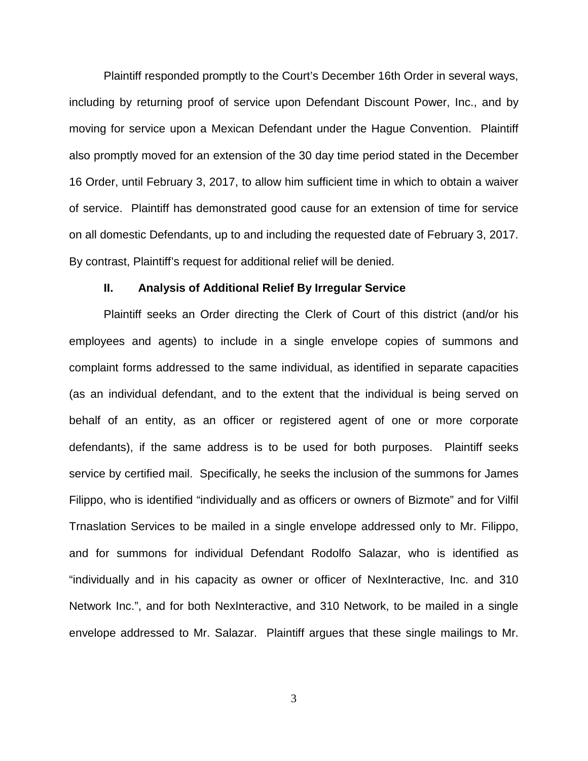Plaintiff responded promptly to the Court's December 16th Order in several ways, including by returning proof of service upon Defendant Discount Power, Inc., and by moving for service upon a Mexican Defendant under the Hague Convention. Plaintiff also promptly moved for an extension of the 30 day time period stated in the December 16 Order, until February 3, 2017, to allow him sufficient time in which to obtain a waiver of service. Plaintiff has demonstrated good cause for an extension of time for service on all domestic Defendants, up to and including the requested date of February 3, 2017. By contrast, Plaintiff's request for additional relief will be denied.

#### **II. Analysis of Additional Relief By Irregular Service**

Plaintiff seeks an Order directing the Clerk of Court of this district (and/or his employees and agents) to include in a single envelope copies of summons and complaint forms addressed to the same individual, as identified in separate capacities (as an individual defendant, and to the extent that the individual is being served on behalf of an entity, as an officer or registered agent of one or more corporate defendants), if the same address is to be used for both purposes. Plaintiff seeks service by certified mail. Specifically, he seeks the inclusion of the summons for James Filippo, who is identified "individually and as officers or owners of Bizmote" and for Vilfil Trnaslation Services to be mailed in a single envelope addressed only to Mr. Filippo, and for summons for individual Defendant Rodolfo Salazar, who is identified as "individually and in his capacity as owner or officer of NexInteractive, Inc. and 310 Network Inc.", and for both NexInteractive, and 310 Network, to be mailed in a single envelope addressed to Mr. Salazar. Plaintiff argues that these single mailings to Mr.

3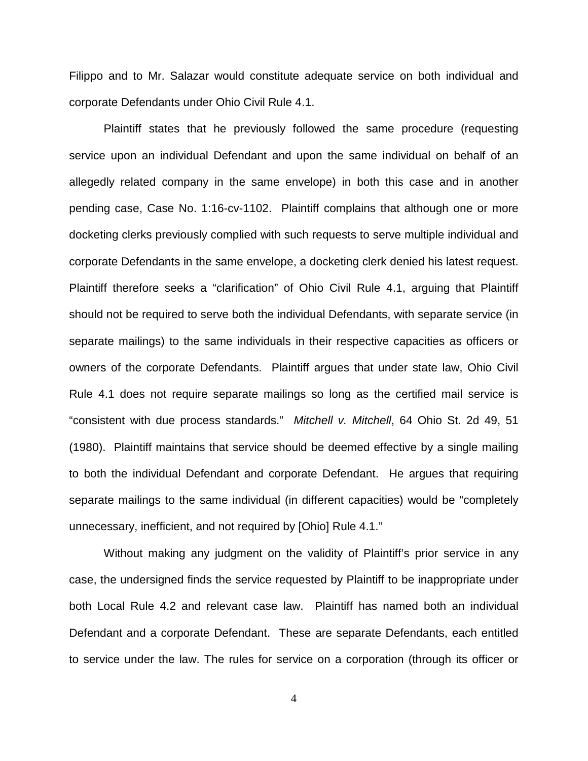Filippo and to Mr. Salazar would constitute adequate service on both individual and corporate Defendants under Ohio Civil Rule 4.1.

Plaintiff states that he previously followed the same procedure (requesting service upon an individual Defendant and upon the same individual on behalf of an allegedly related company in the same envelope) in both this case and in another pending case, Case No. 1:16-cv-1102. Plaintiff complains that although one or more docketing clerks previously complied with such requests to serve multiple individual and corporate Defendants in the same envelope, a docketing clerk denied his latest request. Plaintiff therefore seeks a "clarification" of Ohio Civil Rule 4.1, arguing that Plaintiff should not be required to serve both the individual Defendants, with separate service (in separate mailings) to the same individuals in their respective capacities as officers or owners of the corporate Defendants. Plaintiff argues that under state law, Ohio Civil Rule 4.1 does not require separate mailings so long as the certified mail service is "consistent with due process standards." Mitchell v. Mitchell, 64 Ohio St. 2d 49, 51 (1980). Plaintiff maintains that service should be deemed effective by a single mailing to both the individual Defendant and corporate Defendant. He argues that requiring separate mailings to the same individual (in different capacities) would be "completely unnecessary, inefficient, and not required by [Ohio] Rule 4.1."

Without making any judgment on the validity of Plaintiff's prior service in any case, the undersigned finds the service requested by Plaintiff to be inappropriate under both Local Rule 4.2 and relevant case law. Plaintiff has named both an individual Defendant and a corporate Defendant. These are separate Defendants, each entitled to service under the law. The rules for service on a corporation (through its officer or

4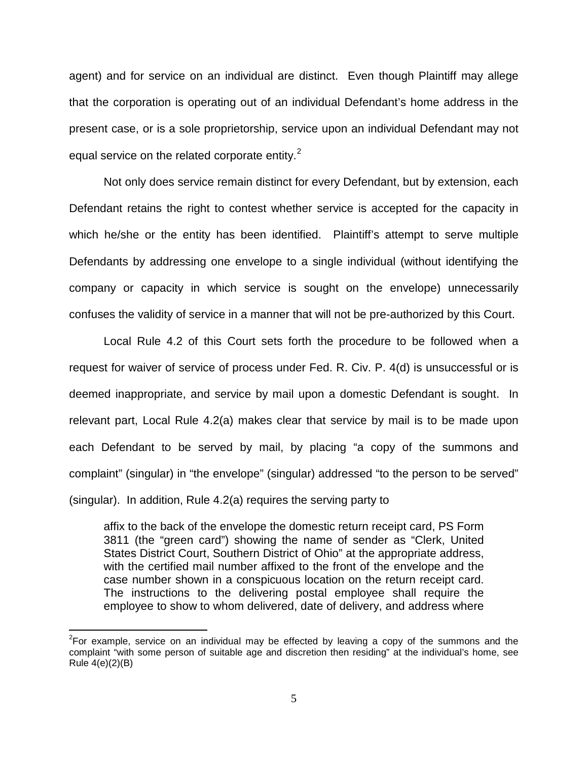agent) and for service on an individual are distinct. Even though Plaintiff may allege that the corporation is operating out of an individual Defendant's home address in the present case, or is a sole proprietorship, service upon an individual Defendant may not equal service on the related corporate entity. $2$ 

Not only does service remain distinct for every Defendant, but by extension, each Defendant retains the right to contest whether service is accepted for the capacity in which he/she or the entity has been identified. Plaintiff's attempt to serve multiple Defendants by addressing one envelope to a single individual (without identifying the company or capacity in which service is sought on the envelope) unnecessarily confuses the validity of service in a manner that will not be pre-authorized by this Court.

Local Rule 4.2 of this Court sets forth the procedure to be followed when a request for waiver of service of process under Fed. R. Civ. P. 4(d) is unsuccessful or is deemed inappropriate, and service by mail upon a domestic Defendant is sought. In relevant part, Local Rule 4.2(a) makes clear that service by mail is to be made upon each Defendant to be served by mail, by placing "a copy of the summons and complaint" (singular) in "the envelope" (singular) addressed "to the person to be served" (singular). In addition, Rule 4.2(a) requires the serving party to

affix to the back of the envelope the domestic return receipt card, PS Form 3811 (the "green card") showing the name of sender as "Clerk, United States District Court, Southern District of Ohio" at the appropriate address, with the certified mail number affixed to the front of the envelope and the case number shown in a conspicuous location on the return receipt card. The instructions to the delivering postal employee shall require the employee to show to whom delivered, date of delivery, and address where

 $\overline{\phantom{a}}$ 

<span id="page-4-0"></span> $2$ For example, service on an individual may be effected by leaving a copy of the summons and the complaint "with some person of suitable age and discretion then residing" at the individual's home, see Rule 4(e)(2)(B)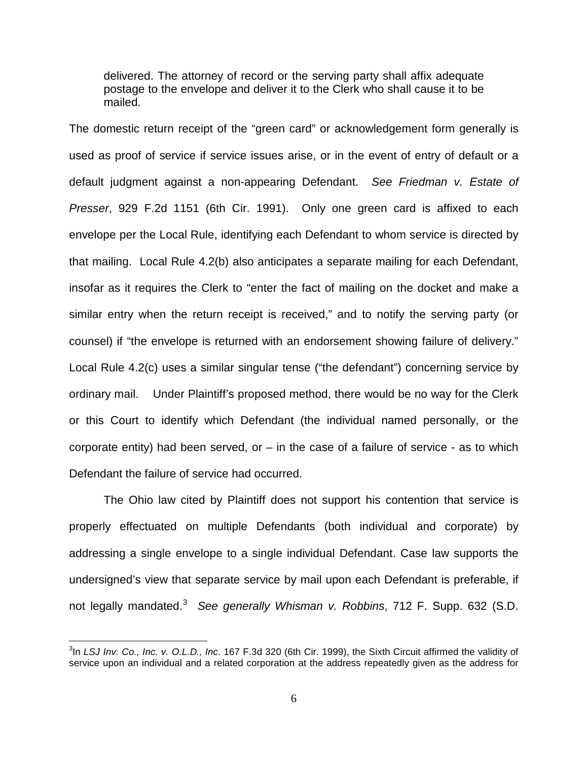delivered. The attorney of record or the serving party shall affix adequate postage to the envelope and deliver it to the Clerk who shall cause it to be mailed.

The domestic return receipt of the "green card" or acknowledgement form generally is used as proof of service if service issues arise, or in the event of entry of default or a default judgment against a non-appearing Defendant. See Friedman v. Estate of Presser, 929 F.2d 1151 (6th Cir. 1991). Only one green card is affixed to each envelope per the Local Rule, identifying each Defendant to whom service is directed by that mailing. Local Rule 4.2(b) also anticipates a separate mailing for each Defendant, insofar as it requires the Clerk to "enter the fact of mailing on the docket and make a similar entry when the return receipt is received," and to notify the serving party (or counsel) if "the envelope is returned with an endorsement showing failure of delivery." Local Rule 4.2(c) uses a similar singular tense ("the defendant") concerning service by ordinary mail. Under Plaintiff's proposed method, there would be no way for the Clerk or this Court to identify which Defendant (the individual named personally, or the corporate entity) had been served, or  $-$  in the case of a failure of service  $-$  as to which Defendant the failure of service had occurred.

The Ohio law cited by Plaintiff does not support his contention that service is properly effectuated on multiple Defendants (both individual and corporate) by addressing a single envelope to a single individual Defendant. Case law supports the undersigned's view that separate service by mail upon each Defendant is preferable, if not legally mandated.<sup>[3](#page-5-0)</sup> See generally Whisman v. Robbins, 712 F. Supp. 632 (S.D.

 $\frac{1}{2}$ 

<span id="page-5-0"></span> $3$ In LSJ Inv. Co., Inc. v. O.L.D., Inc. 167 F.3d 320 (6th Cir. 1999), the Sixth Circuit affirmed the validity of service upon an individual and a related corporation at the address repeatedly given as the address for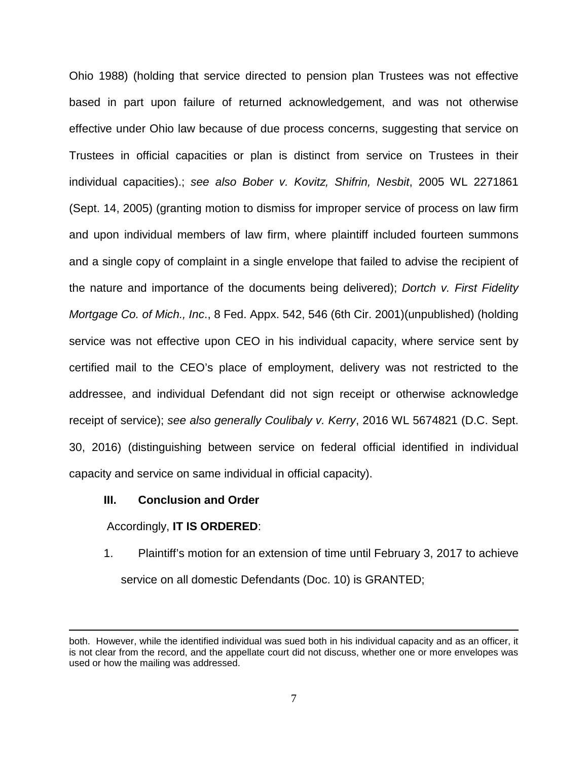Ohio 1988) (holding that service directed to pension plan Trustees was not effective based in part upon failure of returned acknowledgement, and was not otherwise effective under Ohio law because of due process concerns, suggesting that service on Trustees in official capacities or plan is distinct from service on Trustees in their individual capacities).; see also Bober v. Kovitz, Shifrin, Nesbit, 2005 WL 2271861 (Sept. 14, 2005) (granting motion to dismiss for improper service of process on law firm and upon individual members of law firm, where plaintiff included fourteen summons and a single copy of complaint in a single envelope that failed to advise the recipient of the nature and importance of the documents being delivered); Dortch v. First Fidelity Mortgage Co. of Mich., Inc., 8 Fed. Appx. 542, 546 (6th Cir. 2001)(unpublished) (holding service was not effective upon CEO in his individual capacity, where service sent by certified mail to the CEO's place of employment, delivery was not restricted to the addressee, and individual Defendant did not sign receipt or otherwise acknowledge receipt of service); see also generally Coulibaly v. Kerry, 2016 WL 5674821 (D.C. Sept. 30, 2016) (distinguishing between service on federal official identified in individual capacity and service on same individual in official capacity).

### **III. Conclusion and Order**

Accordingly, **IT IS ORDERED**:

 $\overline{a}$ 

1. Plaintiff's motion for an extension of time until February 3, 2017 to achieve service on all domestic Defendants (Doc. 10) is GRANTED;

both. However, while the identified individual was sued both in his individual capacity and as an officer, it is not clear from the record, and the appellate court did not discuss, whether one or more envelopes was used or how the mailing was addressed.